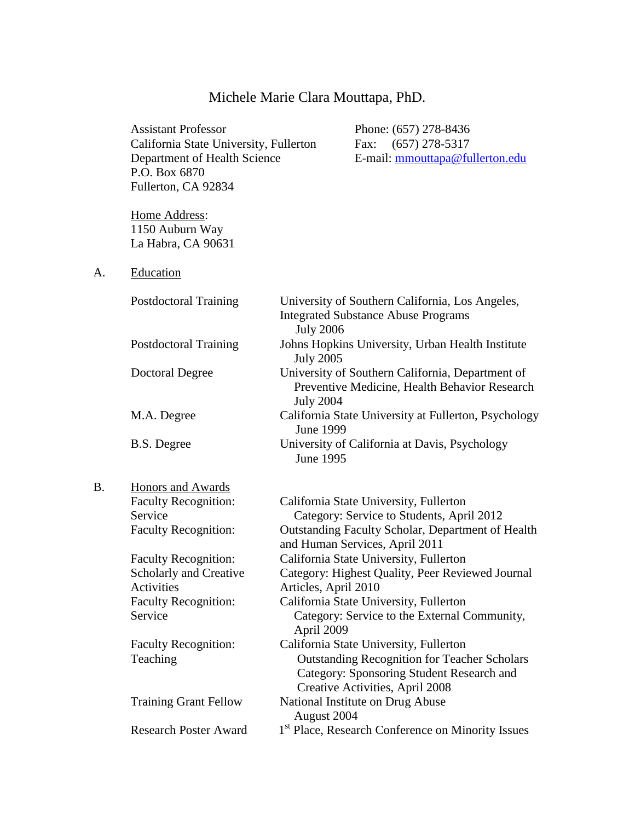# Michele Marie Clara Mouttapa, PhD.

|           | <b>Assistant Professor</b><br>California State University, Fullerton<br>Department of Health Science<br>P.O. Box 6870<br>Fullerton, CA 92834 |                                    | Phone: (657) 278-8436<br>Fax: (657) 278-5317<br>E-mail: mmouttapa@fullerton.edu                                                                                                      |
|-----------|----------------------------------------------------------------------------------------------------------------------------------------------|------------------------------------|--------------------------------------------------------------------------------------------------------------------------------------------------------------------------------------|
|           | Home Address:<br>1150 Auburn Way<br>La Habra, CA 90631                                                                                       |                                    |                                                                                                                                                                                      |
| A.        | Education                                                                                                                                    |                                    |                                                                                                                                                                                      |
|           | <b>Postdoctoral Training</b>                                                                                                                 | <b>July 2006</b>                   | University of Southern California, Los Angeles,<br><b>Integrated Substance Abuse Programs</b>                                                                                        |
|           | <b>Postdoctoral Training</b>                                                                                                                 | <b>July 2005</b>                   | Johns Hopkins University, Urban Health Institute                                                                                                                                     |
|           | <b>Doctoral Degree</b>                                                                                                                       | <b>July 2004</b>                   | University of Southern California, Department of<br>Preventive Medicine, Health Behavior Research                                                                                    |
|           | M.A. Degree                                                                                                                                  | <b>June 1999</b>                   | California State University at Fullerton, Psychology                                                                                                                                 |
|           | B.S. Degree                                                                                                                                  | June 1995                          | University of California at Davis, Psychology                                                                                                                                        |
| <b>B.</b> | <b>Honors and Awards</b><br><b>Faculty Recognition:</b><br>Service<br><b>Faculty Recognition:</b>                                            |                                    | California State University, Fullerton<br>Category: Service to Students, April 2012<br>Outstanding Faculty Scholar, Department of Health<br>and Human Services, April 2011           |
|           | <b>Faculty Recognition:</b><br>Scholarly and Creative<br>Activities<br><b>Faculty Recognition:</b><br>Service                                | Articles, April 2010<br>April 2009 | California State University, Fullerton<br>Category: Highest Quality, Peer Reviewed Journal<br>California State University, Fullerton<br>Category: Service to the External Community, |
|           | <b>Faculty Recognition:</b><br>Teaching                                                                                                      |                                    | California State University, Fullerton<br><b>Outstanding Recognition for Teacher Scholars</b><br>Category: Sponsoring Student Research and<br>Creative Activities, April 2008        |
|           | <b>Training Grant Fellow</b>                                                                                                                 | August 2004                        | National Institute on Drug Abuse                                                                                                                                                     |
|           | <b>Research Poster Award</b>                                                                                                                 |                                    | 1st Place, Research Conference on Minority Issues                                                                                                                                    |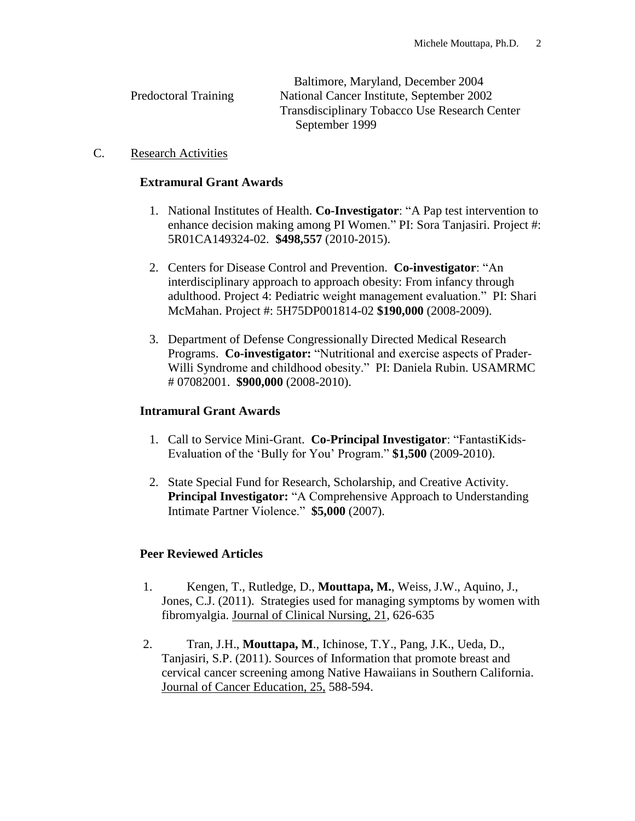|                             | Baltimore, Maryland, December 2004            |
|-----------------------------|-----------------------------------------------|
| <b>Predoctoral Training</b> | National Cancer Institute, September 2002     |
|                             | Transdisciplinary Tobacco Use Research Center |
|                             | September 1999                                |
|                             |                                               |

### C. Research Activities

### **Extramural Grant Awards**

- 1. National Institutes of Health. **Co-Investigator**: "A Pap test intervention to enhance decision making among PI Women." PI: Sora Tanjasiri. Project #: 5R01CA149324-02. **\$498,557** (2010-2015).
- 2. Centers for Disease Control and Prevention. **Co-investigator**: "An interdisciplinary approach to approach obesity: From infancy through adulthood. Project 4: Pediatric weight management evaluation." PI: Shari McMahan. Project #: 5H75DP001814-02 **\$190,000** (2008-2009).
- 3. Department of Defense Congressionally Directed Medical Research Programs. **Co-investigator:** "Nutritional and exercise aspects of Prader-Willi Syndrome and childhood obesity." PI: Daniela Rubin. USAMRMC # 07082001. **\$900,000** (2008-2010).

## **Intramural Grant Awards**

- 1. Call to Service Mini-Grant. **Co-Principal Investigator**: "FantastiKids-Evaluation of the 'Bully for You' Program." **\$1,500** (2009-2010).
- 2. State Special Fund for Research, Scholarship, and Creative Activity. **Principal Investigator:** "A Comprehensive Approach to Understanding Intimate Partner Violence." **\$5,000** (2007).

## **Peer Reviewed Articles**

- 1. Kengen, T., Rutledge, D., **Mouttapa, M.**, Weiss, J.W., Aquino, J., Jones, C.J. (2011). Strategies used for managing symptoms by women with fibromyalgia. Journal of Clinical Nursing, 21, 626-635
- 2. Tran, J.H., **Mouttapa, M**., Ichinose, T.Y., Pang, J.K., Ueda, D., Tanjasiri, S.P. (2011). Sources of Information that promote breast and cervical cancer screening among Native Hawaiians in Southern California. Journal of Cancer Education, 25, 588-594.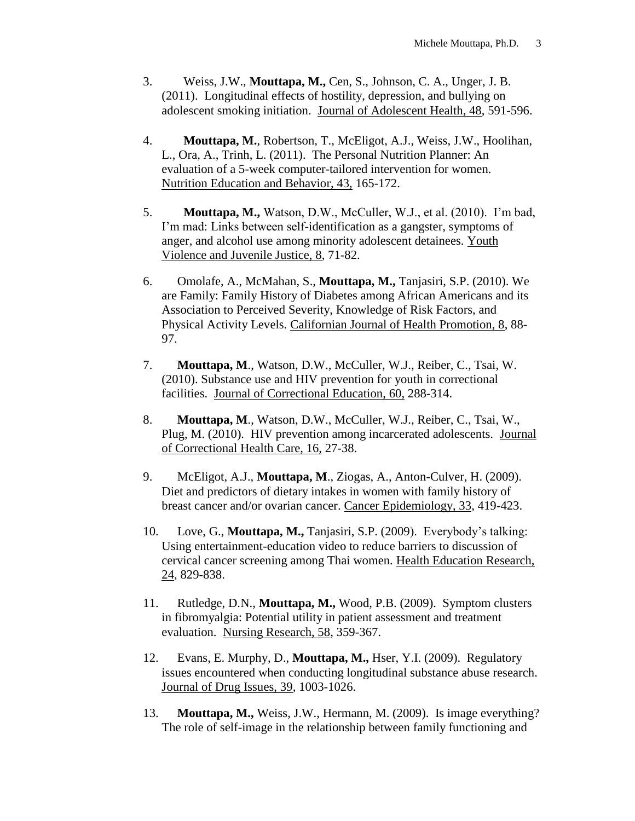- 3. Weiss, J.W., **Mouttapa, M.,** Cen, S., Johnson, C. A., Unger, J. B. (2011). Longitudinal effects of hostility, depression, and bullying on adolescent smoking initiation. Journal of Adolescent Health, 48, 591-596.
- 4. **Mouttapa, M.**, Robertson, T., McEligot, A.J., Weiss, J.W., Hoolihan, L., Ora, A., Trinh, L. (2011). The Personal Nutrition Planner: An evaluation of a 5-week computer-tailored intervention for women. Nutrition Education and Behavior, 43, 165-172.
- 5. **Mouttapa, M.,** Watson, D.W., McCuller, W.J., et al. (2010). I'm bad, I'm mad: Links between self-identification as a gangster, symptoms of anger, and alcohol use among minority adolescent detainees. Youth Violence and Juvenile Justice, 8, 71-82.
- 6.Omolafe, A., McMahan, S., **Mouttapa, M.,** Tanjasiri, S.P. (2010). We are Family: Family History of Diabetes among African Americans and its Association to Perceived Severity, Knowledge of Risk Factors, and Physical Activity Levels. Californian Journal of Health Promotion, 8, 88- 97.
- 7. **Mouttapa, M**., Watson, D.W., McCuller, W.J., Reiber, C., Tsai, W. (2010). Substance use and HIV prevention for youth in correctional facilities. Journal of Correctional Education, 60, 288-314.
- 8. **Mouttapa, M**., Watson, D.W., McCuller, W.J., Reiber, C., Tsai, W., Plug, M. (2010). HIV prevention among incarcerated adolescents. Journal of Correctional Health Care, 16, 27-38.
- 9. McEligot, A.J., **Mouttapa, M**., Ziogas, A., Anton-Culver, H. (2009). Diet and predictors of dietary intakes in women with family history of breast cancer and/or ovarian cancer. Cancer Epidemiology, 33, 419-423.
- 10. Love, G., **Mouttapa, M.,** Tanjasiri, S.P. (2009). Everybody's talking: Using entertainment-education video to reduce barriers to discussion of cervical cancer screening among Thai women. Health Education Research, 24, 829-838.
- 11. Rutledge, D.N., **Mouttapa, M.,** Wood, P.B. (2009). Symptom clusters in fibromyalgia: Potential utility in patient assessment and treatment evaluation. Nursing Research, 58, 359-367.
- 12. Evans, E. Murphy, D., **Mouttapa, M.,** Hser, Y.I. (2009). Regulatory issues encountered when conducting longitudinal substance abuse research. Journal of Drug Issues, 39, 1003-1026.
- 13. **Mouttapa, M.,** Weiss, J.W., Hermann, M. (2009). Is image everything? The role of self-image in the relationship between family functioning and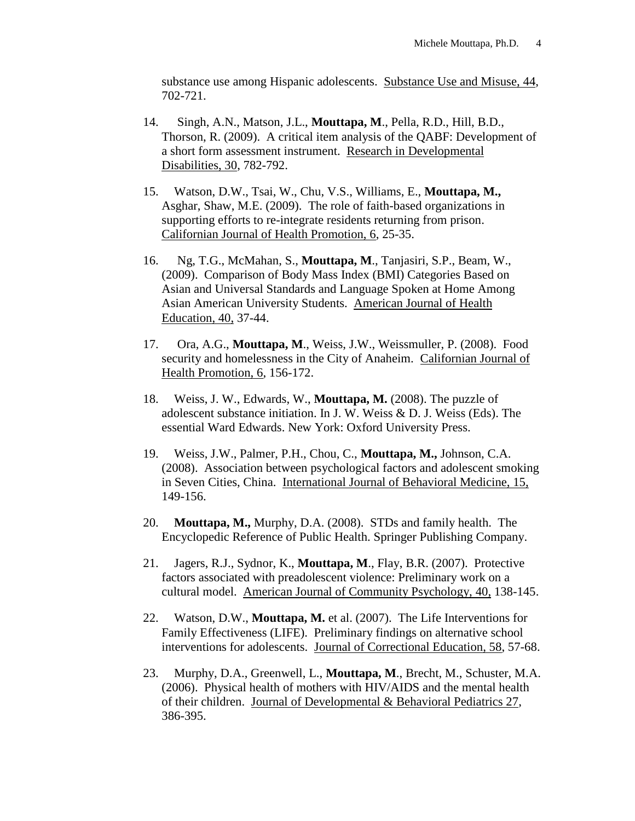substance use among Hispanic adolescents. Substance Use and Misuse, 44, 702-721.

- 14. Singh, A.N., Matson, J.L., **Mouttapa, M**., Pella, R.D., Hill, B.D., Thorson, R. (2009). A critical item analysis of the QABF: Development of a short form assessment instrument. Research in Developmental Disabilities, 30, 782-792.
- 15. Watson, D.W., Tsai, W., Chu, V.S., Williams, E., **Mouttapa, M.,** Asghar, Shaw, M.E. (2009). The role of faith-based organizations in supporting efforts to re-integrate residents returning from prison. Californian Journal of Health Promotion, 6, 25-35.
- 16. Ng, T.G., McMahan, S., **Mouttapa, M**., Tanjasiri, S.P., Beam, W., (2009). Comparison of Body Mass Index (BMI) Categories Based on Asian and Universal Standards and Language Spoken at Home Among Asian American University Students. American Journal of Health Education, 40, 37-44.
- 17. Ora, A.G., **Mouttapa, M**., Weiss, J.W., Weissmuller, P. (2008). Food security and homelessness in the City of Anaheim. Californian Journal of Health Promotion, 6, 156-172.
- 18. Weiss, J. W., Edwards, W., **Mouttapa, M.** (2008). The puzzle of adolescent substance initiation. In J. W. Weiss & D. J. Weiss (Eds). The essential Ward Edwards. New York: Oxford University Press.
- 19. Weiss, J.W., Palmer, P.H., Chou, C., **Mouttapa, M.,** Johnson, C.A. (2008). Association between psychological factors and adolescent smoking in Seven Cities, China. International Journal of Behavioral Medicine, 15, 149-156.
- 20. **Mouttapa, M.,** Murphy, D.A. (2008). STDs and family health. The Encyclopedic Reference of Public Health. Springer Publishing Company.
- 21. Jagers, R.J., Sydnor, K., **Mouttapa, M**., Flay, B.R. (2007). Protective factors associated with preadolescent violence: Preliminary work on a cultural model. American Journal of Community Psychology, 40, 138-145.
- 22. Watson, D.W., **Mouttapa, M.** et al. (2007). The Life Interventions for Family Effectiveness (LIFE). Preliminary findings on alternative school interventions for adolescents. Journal of Correctional Education, 58, 57-68.
- 23. Murphy, D.A., Greenwell, L., **Mouttapa, M**., Brecht, M., Schuster, M.A. (2006). Physical health of mothers with HIV/AIDS and the mental health of their children. Journal of Developmental & Behavioral Pediatrics 27, 386-395.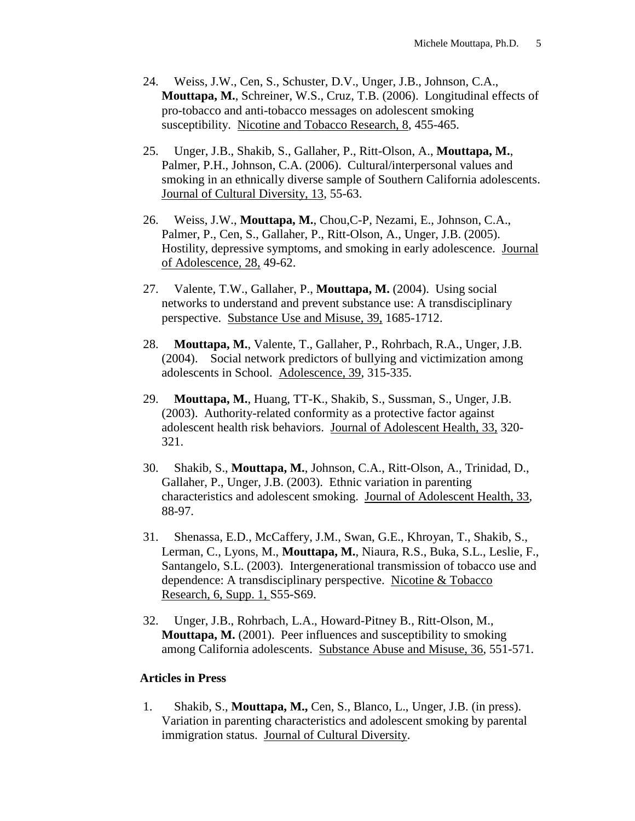- 24. Weiss, J.W., Cen, S., Schuster, D.V., Unger, J.B., Johnson, C.A., **Mouttapa, M.**, Schreiner, W.S., Cruz, T.B. (2006). Longitudinal effects of pro-tobacco and anti-tobacco messages on adolescent smoking susceptibility. Nicotine and Tobacco Research, 8, 455-465.
- 25. Unger, J.B., Shakib, S., Gallaher, P., Ritt-Olson, A., **Mouttapa, M.**, Palmer, P.H., Johnson, C.A. (2006). Cultural/interpersonal values and smoking in an ethnically diverse sample of Southern California adolescents. Journal of Cultural Diversity, 13, 55-63.
- 26. Weiss, J.W., **Mouttapa, M.**, Chou,C-P, Nezami, E., Johnson, C.A., Palmer, P., Cen, S., Gallaher, P., Ritt-Olson, A., Unger, J.B. (2005). Hostility, depressive symptoms, and smoking in early adolescence. Journal of Adolescence, 28, 49-62.
- 27. Valente, T.W., Gallaher, P., **Mouttapa, M.** (2004). Using social networks to understand and prevent substance use: A transdisciplinary perspective. Substance Use and Misuse, 39, 1685-1712.
- 28. **Mouttapa, M.**, Valente, T., Gallaher, P., Rohrbach, R.A., Unger, J.B. (2004). Social network predictors of bullying and victimization among adolescents in School. Adolescence, 39, 315-335.
- 29. **Mouttapa, M.**, Huang, TT-K., Shakib, S., Sussman, S., Unger, J.B. (2003). Authority-related conformity as a protective factor against adolescent health risk behaviors. Journal of Adolescent Health, 33, 320- 321.
- 30. Shakib, S., **Mouttapa, M.**, Johnson, C.A., Ritt-Olson, A., Trinidad, D., Gallaher, P., Unger, J.B. (2003). Ethnic variation in parenting characteristics and adolescent smoking. Journal of Adolescent Health, 33, 88-97.
- 31. Shenassa, E.D., McCaffery, J.M., Swan, G.E., Khroyan, T., Shakib, S., Lerman, C., Lyons, M., **Mouttapa, M.**, Niaura, R.S., Buka, S.L., Leslie, F., Santangelo, S.L. (2003). Intergenerational transmission of tobacco use and dependence: A transdisciplinary perspective. Nicotine & Tobacco Research, 6, Supp. 1, S55-S69.
- 32. Unger, J.B., Rohrbach, L.A., Howard-Pitney B., Ritt-Olson, M., **Mouttapa, M.** (2001). Peer influences and susceptibility to smoking among California adolescents. Substance Abuse and Misuse, 36, 551-571.

#### **Articles in Press**

1.Shakib, S., **Mouttapa, M.,** Cen, S., Blanco, L., Unger, J.B. (in press). Variation in parenting characteristics and adolescent smoking by parental immigration status. Journal of Cultural Diversity.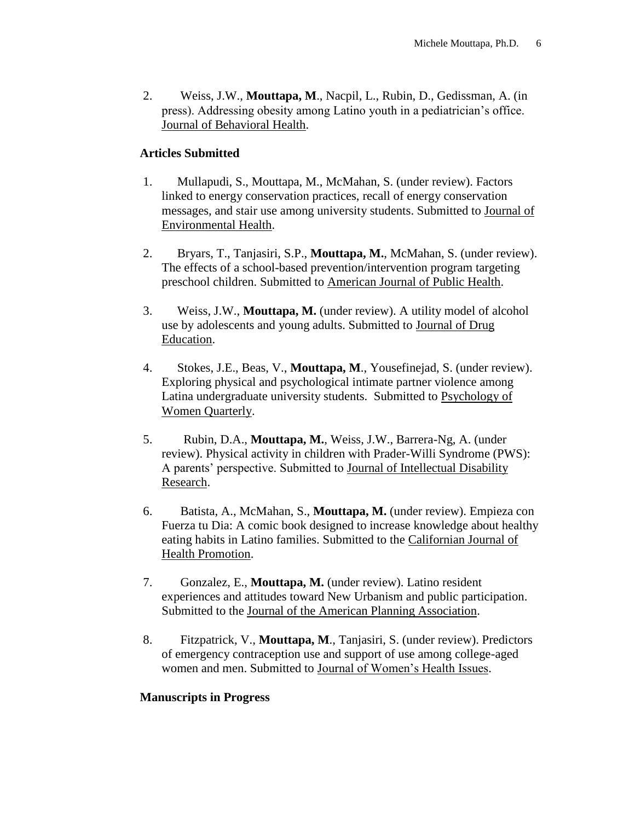2. Weiss, J.W., **Mouttapa, M**., Nacpil, L., Rubin, D., Gedissman, A. (in press). Addressing obesity among Latino youth in a pediatrician's office. Journal of Behavioral Health.

## **Articles Submitted**

- 1. Mullapudi, S., Mouttapa, M., McMahan, S. (under review). Factors linked to energy conservation practices, recall of energy conservation messages, and stair use among university students. Submitted to Journal of Environmental Health.
- 2. Bryars, T., Tanjasiri, S.P., **Mouttapa, M.**, McMahan, S. (under review). The effects of a school-based prevention/intervention program targeting preschool children. Submitted to American Journal of Public Health.
- 3. Weiss, J.W., **Mouttapa, M.** (under review). A utility model of alcohol use by adolescents and young adults. Submitted to Journal of Drug Education.
- 4. Stokes, J.E., Beas, V., **Mouttapa, M**., Yousefinejad, S. (under review). Exploring physical and psychological intimate partner violence among Latina undergraduate university students. Submitted to Psychology of Women Quarterly.
- 5. Rubin, D.A., **Mouttapa, M.**, Weiss, J.W., Barrera-Ng, A. (under review). Physical activity in children with Prader-Willi Syndrome (PWS): A parents' perspective. Submitted to Journal of Intellectual Disability Research.
- 6. Batista, A., McMahan, S., **Mouttapa, M.** (under review). Empieza con Fuerza tu Dia: A comic book designed to increase knowledge about healthy eating habits in Latino families. Submitted to the Californian Journal of Health Promotion.
- 7. Gonzalez, E., **Mouttapa, M.** (under review). Latino resident experiences and attitudes toward New Urbanism and public participation. Submitted to the Journal of the American Planning Association.
- 8. Fitzpatrick, V., **Mouttapa, M**., Tanjasiri, S. (under review). Predictors of emergency contraception use and support of use among college-aged women and men. Submitted to Journal of Women's Health Issues.

#### **Manuscripts in Progress**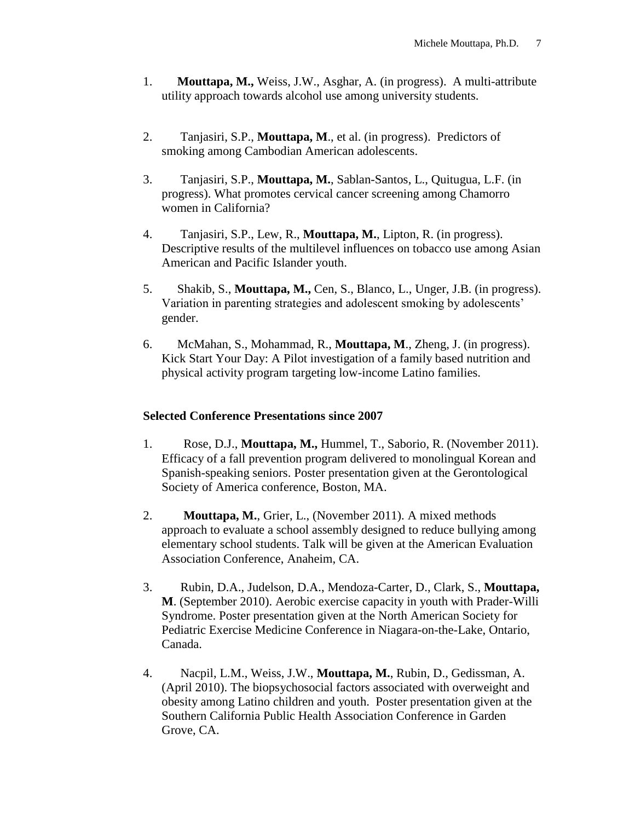- 1. **Mouttapa, M.,** Weiss, J.W., Asghar, A. (in progress). A multi-attribute utility approach towards alcohol use among university students.
- 2. Tanjasiri, S.P., **Mouttapa, M**., et al. (in progress). Predictors of smoking among Cambodian American adolescents.
- 3. Tanjasiri, S.P., **Mouttapa, M.**, Sablan-Santos, L., Quitugua, L.F. (in progress). What promotes cervical cancer screening among Chamorro women in California?
- 4. Tanjasiri, S.P., Lew, R., **Mouttapa, M.**, Lipton, R. (in progress). Descriptive results of the multilevel influences on tobacco use among Asian American and Pacific Islander youth.
- 5. Shakib, S., **Mouttapa, M.,** Cen, S., Blanco, L., Unger, J.B. (in progress). Variation in parenting strategies and adolescent smoking by adolescents' gender.
- 6. McMahan, S., Mohammad, R., **Mouttapa, M**., Zheng, J. (in progress). Kick Start Your Day: A Pilot investigation of a family based nutrition and physical activity program targeting low-income Latino families.

#### **Selected Conference Presentations since 2007**

- 1.Rose, D.J., **Mouttapa, M.,** Hummel, T., Saborio, R. (November 2011). Efficacy of a fall prevention program delivered to monolingual Korean and Spanish-speaking seniors. Poster presentation given at the Gerontological Society of America conference, Boston, MA.
- 2.**Mouttapa, M.**, Grier, L., (November 2011). A mixed methods approach to evaluate a school assembly designed to reduce bullying among elementary school students. Talk will be given at the American Evaluation Association Conference, Anaheim, CA.
- 3. Rubin, D.A., Judelson, D.A., Mendoza-Carter, D., Clark, S., **Mouttapa, M**. (September 2010). Aerobic exercise capacity in youth with Prader-Willi Syndrome. Poster presentation given at the North American Society for Pediatric Exercise Medicine Conference in Niagara-on-the-Lake, Ontario, Canada.
- 4. Nacpil, L.M., Weiss, J.W., **Mouttapa, M.**, Rubin, D., Gedissman, A. (April 2010). The biopsychosocial factors associated with overweight and obesity among Latino children and youth. Poster presentation given at the Southern California Public Health Association Conference in Garden Grove, CA.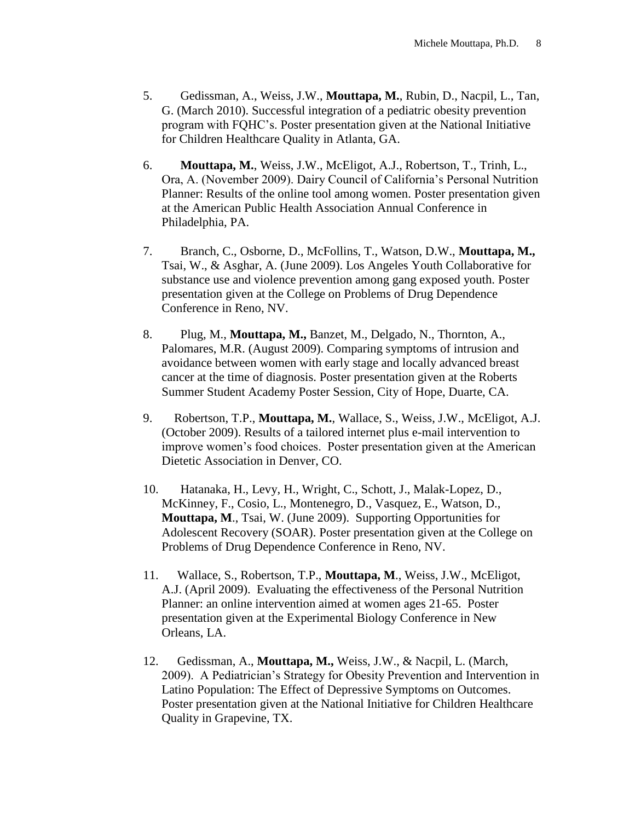- 5.Gedissman, A., Weiss, J.W., **Mouttapa, M.**, Rubin, D., Nacpil, L., Tan, G. (March 2010). Successful integration of a pediatric obesity prevention program with FQHC's. Poster presentation given at the National Initiative for Children Healthcare Quality in Atlanta, GA.
- 6. **Mouttapa, M.**, Weiss, J.W., McEligot, A.J., Robertson, T., Trinh, L., Ora, A. (November 2009). Dairy Council of California's Personal Nutrition Planner: Results of the online tool among women. Poster presentation given at the American Public Health Association Annual Conference in Philadelphia, PA.
- 7. Branch, C., Osborne, D., McFollins, T., Watson, D.W., **Mouttapa, M.,** Tsai, W., & Asghar, A. (June 2009). Los Angeles Youth Collaborative for substance use and violence prevention among gang exposed youth. Poster presentation given at the College on Problems of Drug Dependence Conference in Reno, NV.
- 8. Plug, M., **Mouttapa, M.,** Banzet, M., Delgado, N., Thornton, A., Palomares, M.R. (August 2009). Comparing symptoms of intrusion and avoidance between women with early stage and locally advanced breast cancer at the time of diagnosis. Poster presentation given at the Roberts Summer Student Academy Poster Session, City of Hope, Duarte, CA.
- 9. Robertson, T.P., **Mouttapa, M.**, Wallace, S., Weiss, J.W., McEligot, A.J. (October 2009). Results of a tailored internet plus e-mail intervention to improve women's food choices. Poster presentation given at the American Dietetic Association in Denver, CO.
- 10. Hatanaka, H., Levy, H., Wright, C., Schott, J., Malak-Lopez, D., McKinney, F., Cosio, L., Montenegro, D., Vasquez, E., Watson, D., **Mouttapa, M**., Tsai, W. (June 2009). Supporting Opportunities for Adolescent Recovery (SOAR). Poster presentation given at the College on Problems of Drug Dependence Conference in Reno, NV.
- 11. Wallace, S., Robertson, T.P., **Mouttapa, M**., Weiss, J.W., McEligot, A.J. (April 2009). Evaluating the effectiveness of the Personal Nutrition Planner: an online intervention aimed at women ages 21-65. Poster presentation given at the Experimental Biology Conference in New Orleans, LA.
- 12. Gedissman, A., **Mouttapa, M.,** Weiss, J.W., & Nacpil, L. (March, 2009). A Pediatrician's Strategy for Obesity Prevention and Intervention in Latino Population: The Effect of Depressive Symptoms on Outcomes. Poster presentation given at the National Initiative for Children Healthcare Quality in Grapevine, TX.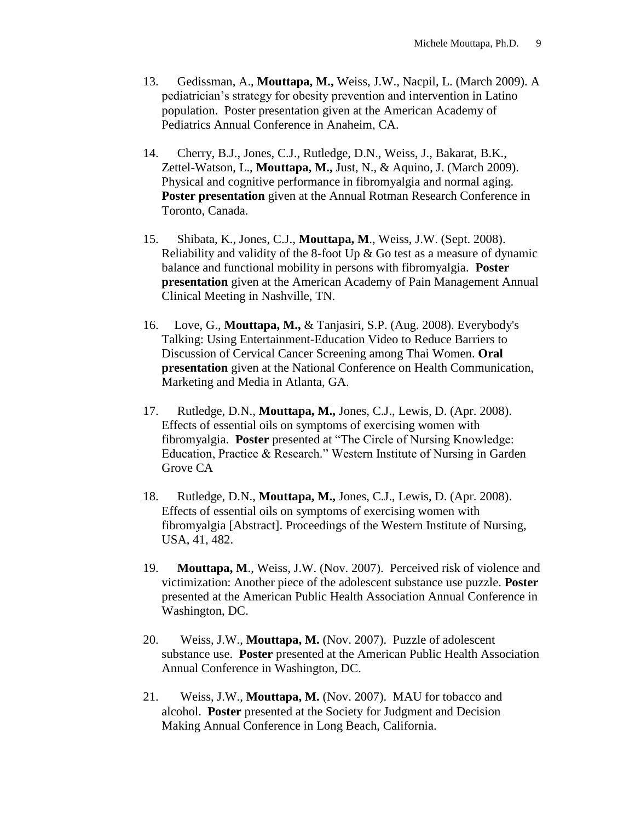- 13. Gedissman, A., **Mouttapa, M.,** Weiss, J.W., Nacpil, L. (March 2009). A pediatrician's strategy for obesity prevention and intervention in Latino population. Poster presentation given at the American Academy of Pediatrics Annual Conference in Anaheim, CA.
- 14. Cherry, B.J., Jones, C.J., Rutledge, D.N., Weiss, J., Bakarat, B.K., Zettel-Watson, L., **Mouttapa, M.,** Just, N., & Aquino, J. (March 2009). Physical and cognitive performance in fibromyalgia and normal aging. **Poster presentation** given at the Annual Rotman Research Conference in Toronto, Canada.
- 15. Shibata, K., Jones, C.J., **Mouttapa, M**., Weiss, J.W. (Sept. 2008). Reliability and validity of the 8-foot Up & Go test as a measure of dynamic balance and functional mobility in persons with fibromyalgia. **Poster presentation** given at the American Academy of Pain Management Annual Clinical Meeting in Nashville, TN.
- 16.Love, G., **Mouttapa, M.,** & Tanjasiri, S.P. (Aug. 2008). Everybody's Talking: Using Entertainment-Education Video to Reduce Barriers to Discussion of Cervical Cancer Screening among Thai Women. **Oral presentation** given at the National Conference on Health Communication, Marketing and Media in Atlanta, GA.
- 17. Rutledge, D.N., **Mouttapa, M.,** Jones, C.J., Lewis, D. (Apr. 2008). Effects of essential oils on symptoms of exercising women with fibromyalgia. **Poster** presented at "The Circle of Nursing Knowledge: Education, Practice & Research." Western Institute of Nursing in Garden Grove CA
- 18. Rutledge, D.N., **Mouttapa, M.,** Jones, C.J., Lewis, D. (Apr. 2008). Effects of essential oils on symptoms of exercising women with fibromyalgia [Abstract]. Proceedings of the Western Institute of Nursing, USA, 41, 482.
- 19. **Mouttapa, M**., Weiss, J.W. (Nov. 2007). Perceived risk of violence and victimization: Another piece of the adolescent substance use puzzle. **Poster** presented at the American Public Health Association Annual Conference in Washington, DC.
- 20. Weiss, J.W., **Mouttapa, M.** (Nov. 2007). Puzzle of adolescent substance use. **Poster** presented at the American Public Health Association Annual Conference in Washington, DC.
- 21. Weiss, J.W., **Mouttapa, M.** (Nov. 2007). MAU for tobacco and alcohol. **Poster** presented at the Society for Judgment and Decision Making Annual Conference in Long Beach, California.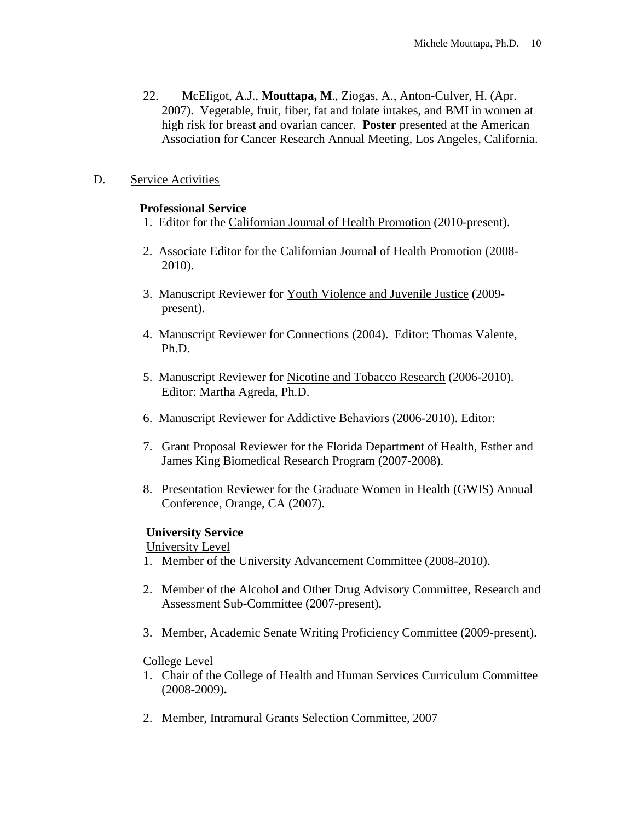22. McEligot, A.J., **Mouttapa, M**., Ziogas, A., Anton-Culver, H. (Apr. 2007). Vegetable, fruit, fiber, fat and folate intakes, and BMI in women at high risk for breast and ovarian cancer. **Poster** presented at the American Association for Cancer Research Annual Meeting, Los Angeles, California.

## D. Service Activities

#### **Professional Service**

- 1. Editor for the Californian Journal of Health Promotion (2010-present).
- 2. Associate Editor for the Californian Journal of Health Promotion (2008- 2010).
- 3. Manuscript Reviewer for Youth Violence and Juvenile Justice (2009 present).
- 4. Manuscript Reviewer for Connections (2004). Editor: Thomas Valente, Ph.D.
- 5. Manuscript Reviewer for Nicotine and Tobacco Research (2006-2010). Editor: Martha Agreda, Ph.D.
- 6. Manuscript Reviewer for Addictive Behaviors (2006-2010). Editor:
- 7. Grant Proposal Reviewer for the Florida Department of Health, Esther and James King Biomedical Research Program (2007-2008).
- 8. Presentation Reviewer for the Graduate Women in Health (GWIS) Annual Conference, Orange, CA (2007).

#### **University Service**

University Level

- 1. Member of the University Advancement Committee (2008-2010).
- 2. Member of the Alcohol and Other Drug Advisory Committee, Research and Assessment Sub-Committee (2007-present).
- 3. Member, Academic Senate Writing Proficiency Committee (2009-present).

## College Level

- 1. Chair of the College of Health and Human Services Curriculum Committee (2008-2009)**.**
- 2. Member, Intramural Grants Selection Committee, 2007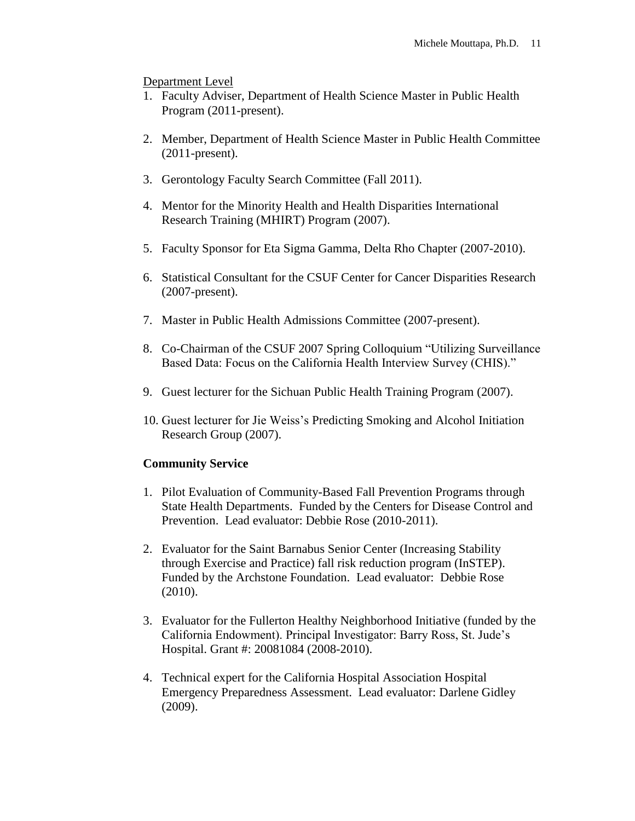Department Level

- 1. Faculty Adviser, Department of Health Science Master in Public Health Program (2011-present).
- 2. Member, Department of Health Science Master in Public Health Committee (2011-present).
- 3. Gerontology Faculty Search Committee (Fall 2011).
- 4. Mentor for the Minority Health and Health Disparities International Research Training (MHIRT) Program (2007).
- 5. Faculty Sponsor for Eta Sigma Gamma, Delta Rho Chapter (2007-2010).
- 6. Statistical Consultant for the CSUF Center for Cancer Disparities Research (2007-present).
- 7. Master in Public Health Admissions Committee (2007-present).
- 8. Co-Chairman of the CSUF 2007 Spring Colloquium "Utilizing Surveillance Based Data: Focus on the California Health Interview Survey (CHIS)."
- 9. Guest lecturer for the Sichuan Public Health Training Program (2007).
- 10. Guest lecturer for Jie Weiss's Predicting Smoking and Alcohol Initiation Research Group (2007).

#### **Community Service**

- 1. Pilot Evaluation of Community-Based Fall Prevention Programs through State Health Departments. Funded by the Centers for Disease Control and Prevention. Lead evaluator: Debbie Rose (2010-2011).
- 2. Evaluator for the Saint Barnabus Senior Center (Increasing Stability through Exercise and Practice) fall risk reduction program (InSTEP). Funded by the Archstone Foundation. Lead evaluator: Debbie Rose (2010).
- 3. Evaluator for the Fullerton Healthy Neighborhood Initiative (funded by the California Endowment). Principal Investigator: Barry Ross, St. Jude's Hospital. Grant #: 20081084 (2008-2010).
- 4. Technical expert for the California Hospital Association Hospital Emergency Preparedness Assessment. Lead evaluator: Darlene Gidley (2009).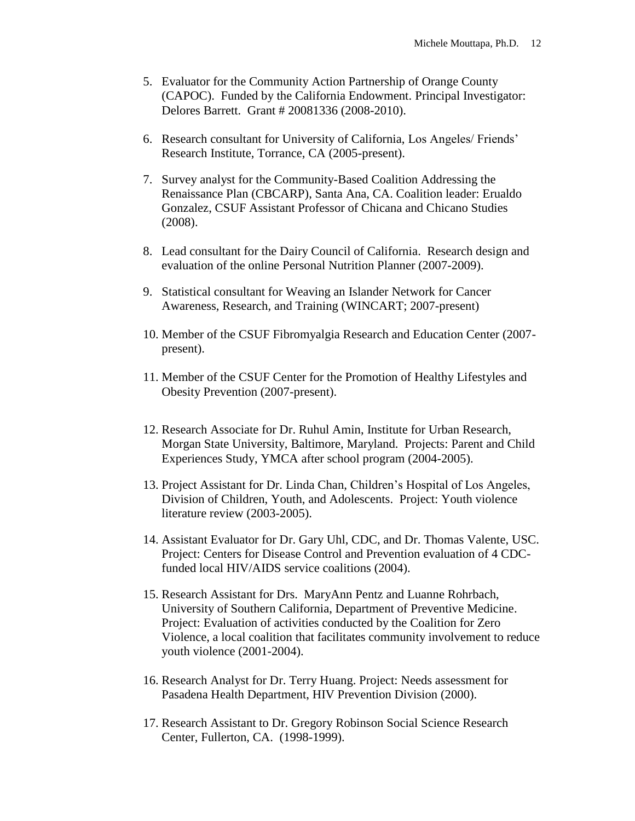- 5. Evaluator for the Community Action Partnership of Orange County (CAPOC). Funded by the California Endowment. Principal Investigator: Delores Barrett. Grant # 20081336 (2008-2010).
- 6. Research consultant for University of California, Los Angeles/ Friends' Research Institute, Torrance, CA (2005-present).
- 7. Survey analyst for the Community-Based Coalition Addressing the Renaissance Plan (CBCARP), Santa Ana, CA. Coalition leader: Erualdo Gonzalez, CSUF Assistant Professor of Chicana and Chicano Studies (2008).
- 8. Lead consultant for the Dairy Council of California. Research design and evaluation of the online Personal Nutrition Planner (2007-2009).
- 9. Statistical consultant for Weaving an Islander Network for Cancer Awareness, Research, and Training (WINCART; 2007-present)
- 10. Member of the CSUF Fibromyalgia Research and Education Center (2007 present).
- 11. Member of the CSUF Center for the Promotion of Healthy Lifestyles and Obesity Prevention (2007-present).
- 12. Research Associate for Dr. Ruhul Amin, Institute for Urban Research, Morgan State University, Baltimore, Maryland. Projects: Parent and Child Experiences Study, YMCA after school program (2004-2005).
- 13. Project Assistant for Dr. Linda Chan, Children's Hospital of Los Angeles, Division of Children, Youth, and Adolescents. Project: Youth violence literature review (2003-2005).
- 14. Assistant Evaluator for Dr. Gary Uhl, CDC, and Dr. Thomas Valente, USC. Project: Centers for Disease Control and Prevention evaluation of 4 CDCfunded local HIV/AIDS service coalitions (2004).
- 15. Research Assistant for Drs. MaryAnn Pentz and Luanne Rohrbach, University of Southern California, Department of Preventive Medicine. Project: Evaluation of activities conducted by the Coalition for Zero Violence, a local coalition that facilitates community involvement to reduce youth violence (2001-2004).
- 16. Research Analyst for Dr. Terry Huang. Project: Needs assessment for Pasadena Health Department, HIV Prevention Division (2000).
- 17. Research Assistant to Dr. Gregory Robinson Social Science Research Center, Fullerton, CA. (1998-1999).